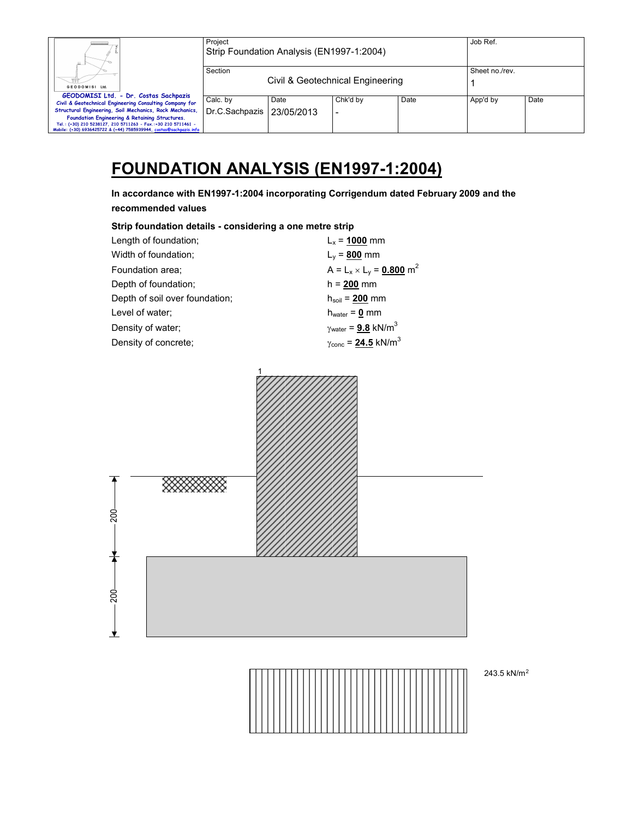| Ш.                                                                 | Project<br>Strip Foundation Analysis (EN1997-1:2004) |                                  |                |      | Job Ref. |      |
|--------------------------------------------------------------------|------------------------------------------------------|----------------------------------|----------------|------|----------|------|
|                                                                    | Section                                              | Civil & Geotechnical Engineering | Sheet no./rev. |      |          |      |
| GEODOMISI Ltd.                                                     |                                                      |                                  |                |      |          |      |
| GEODOMISI Ltd. - Dr. Costas Sachpazis                              | Calc. by                                             | Date                             | Chk'd by       | Date | App'd by | Date |
| Civil & Geotechnical Engineering Consulting Company for            |                                                      |                                  |                |      |          |      |
| Structural Engineering, Soil Mechanics, Rock Mechanics,            | Dr.C.Sachpazis                                       | 23/05/2013                       |                |      |          |      |
| Foundation Engineering & Retaining Structures.                     |                                                      |                                  |                |      |          |      |
| Tel.: (+30) 210 5238127, 210 5711263 - Fax.:+30 210 5711461 -      |                                                      |                                  |                |      |          |      |
| Mobile: (+30) 6936425722 & (+44) 7585939944, costas@sachpazis.info |                                                      |                                  |                |      |          |      |

# **FOUNDATION ANALYSIS (EN1997-1:2004)**

**In accordance with EN1997-1:2004 incorporating Corrigendum dated February 2009 and the recommended values** 

| Strip foundation details - considering a one metre strip |                                              |  |  |  |  |  |
|----------------------------------------------------------|----------------------------------------------|--|--|--|--|--|
| Length of foundation;                                    | $L_x = 1000$ mm                              |  |  |  |  |  |
| Width of foundation;                                     | $L_y = 800$ mm                               |  |  |  |  |  |
| Foundation area:                                         | $A = L_x \times L_y = 0.800$ m <sup>2</sup>  |  |  |  |  |  |
| Depth of foundation;                                     | $h = 200$ mm                                 |  |  |  |  |  |
| Depth of soil over foundation;                           | $h_{\text{soil}} = 200 \text{ mm}$           |  |  |  |  |  |
| Level of water;                                          | $h_{water} = 0$ mm                           |  |  |  |  |  |
| Density of water;                                        | $\gamma_{\text{water}} = 9.8 \text{ kN/m}^3$ |  |  |  |  |  |
| Density of concrete:                                     | $\gamma_{\text{conc}} = 24.5 \text{ kN/m}^3$ |  |  |  |  |  |





243.5 kN/m2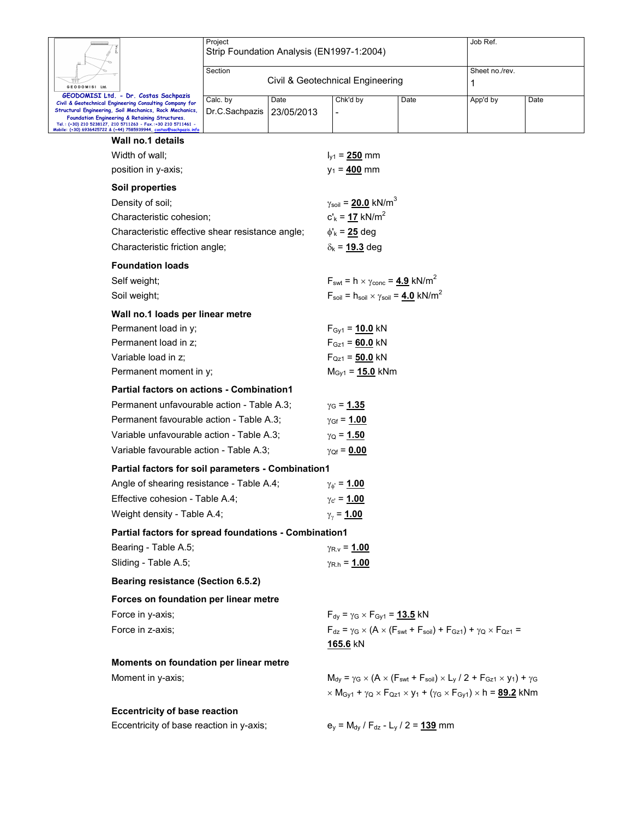|                                                                                                                                                                      | Project<br>Strip Foundation Analysis (EN1997-1:2004) |                                  | Job Ref.                                            |                                                                                                                                                                                        |                |      |  |  |
|----------------------------------------------------------------------------------------------------------------------------------------------------------------------|------------------------------------------------------|----------------------------------|-----------------------------------------------------|----------------------------------------------------------------------------------------------------------------------------------------------------------------------------------------|----------------|------|--|--|
|                                                                                                                                                                      |                                                      |                                  |                                                     |                                                                                                                                                                                        |                |      |  |  |
| GEODOMISI Ltd.                                                                                                                                                       | Section                                              | Civil & Geotechnical Engineering |                                                     |                                                                                                                                                                                        | Sheet no./rev. | 1    |  |  |
| GEODOMISI Ltd. - Dr. Costas Sachpazis                                                                                                                                | Calc. by                                             | Date                             | Chk'd by                                            | Date                                                                                                                                                                                   | App'd by       | Date |  |  |
| Civil & Geotechnical Engineering Consulting Company for<br>Structural Engineering, Soil Mechanics, Rock Mechanics,<br>Foundation Engineering & Retaining Structures. | Dr.C.Sachpazis                                       | 23/05/2013                       |                                                     |                                                                                                                                                                                        |                |      |  |  |
| Tel.: (+30) 210 5238127, 210 5711263 - Fax.:+30 210 5711461 -<br>Mobile: (+30) 6936425722 & (+44) 7585939944, costas@sachpazis.info                                  |                                                      |                                  |                                                     |                                                                                                                                                                                        |                |      |  |  |
| Wall no.1 details                                                                                                                                                    |                                                      |                                  |                                                     |                                                                                                                                                                                        |                |      |  |  |
| Width of wall:                                                                                                                                                       |                                                      |                                  | $I_{v1} = 250$ mm                                   |                                                                                                                                                                                        |                |      |  |  |
| position in y-axis;                                                                                                                                                  |                                                      |                                  | $y_1 = 400$ mm                                      |                                                                                                                                                                                        |                |      |  |  |
| <b>Soil properties</b>                                                                                                                                               |                                                      |                                  |                                                     |                                                                                                                                                                                        |                |      |  |  |
| Density of soil;                                                                                                                                                     |                                                      |                                  | $\gamma_{\text{soil}} = 20.0 \text{ kN/m}^3$        |                                                                                                                                                                                        |                |      |  |  |
| Characteristic cohesion;                                                                                                                                             |                                                      |                                  | $c'_{k} = 17$ kN/m <sup>2</sup>                     |                                                                                                                                                                                        |                |      |  |  |
| Characteristic effective shear resistance angle;                                                                                                                     |                                                      |                                  | $\phi'_{k}$ = 25 deg                                |                                                                                                                                                                                        |                |      |  |  |
| Characteristic friction angle;                                                                                                                                       |                                                      |                                  | $\delta_{k}$ = 19.3 deg                             |                                                                                                                                                                                        |                |      |  |  |
| <b>Foundation loads</b>                                                                                                                                              |                                                      |                                  |                                                     |                                                                                                                                                                                        |                |      |  |  |
| Self weight;                                                                                                                                                         |                                                      |                                  |                                                     | $F_{\text{swt}} = h \times \gamma_{\text{conc}} = 4.9 \text{ kN/m}^2$                                                                                                                  |                |      |  |  |
| Soil weight;                                                                                                                                                         |                                                      |                                  |                                                     | $F_{\text{soil}} = h_{\text{soil}} \times \gamma_{\text{soil}} = 4.0 \text{ kN/m}^2$                                                                                                   |                |      |  |  |
| Wall no.1 loads per linear metre                                                                                                                                     |                                                      |                                  |                                                     |                                                                                                                                                                                        |                |      |  |  |
| Permanent load in y;                                                                                                                                                 |                                                      |                                  | $F_{\text{Gv1}} = 10.0 \text{ kN}$                  |                                                                                                                                                                                        |                |      |  |  |
| Permanent load in z;<br>Variable load in z;                                                                                                                          |                                                      |                                  | $F_{Gz1} = 60.0$ kN<br>$F_{Qz1} = 50.0$ kN          |                                                                                                                                                                                        |                |      |  |  |
| Permanent moment in y;                                                                                                                                               |                                                      |                                  | $M_{\text{Gy1}} = 15.0 \text{ kNm}$                 |                                                                                                                                                                                        |                |      |  |  |
| <b>Partial factors on actions - Combination1</b>                                                                                                                     |                                                      |                                  |                                                     |                                                                                                                                                                                        |                |      |  |  |
| Permanent unfavourable action - Table A.3;                                                                                                                           |                                                      |                                  |                                                     |                                                                                                                                                                                        |                |      |  |  |
| Permanent favourable action - Table A.3;                                                                                                                             |                                                      |                                  | $γ$ <sub>G</sub> = 1.35                             |                                                                                                                                                                                        |                |      |  |  |
| Variable unfavourable action - Table A.3;                                                                                                                            |                                                      |                                  | $\gamma_{\rm Gf} = 1.00$<br>$\gamma_{\rm Q} = 1.50$ |                                                                                                                                                                                        |                |      |  |  |
| Variable favourable action - Table A.3;                                                                                                                              |                                                      |                                  | $\gamma_{Qf} = 0.00$                                |                                                                                                                                                                                        |                |      |  |  |
| Partial factors for soil parameters - Combination1                                                                                                                   |                                                      |                                  |                                                     |                                                                                                                                                                                        |                |      |  |  |
| Angle of shearing resistance - Table A.4;                                                                                                                            |                                                      |                                  | $\gamma_{\phi} = 1.00$                              |                                                                                                                                                                                        |                |      |  |  |
| Effective cohesion - Table A.4;                                                                                                                                      |                                                      |                                  | $\gamma_{\rm C} = 1.00$                             |                                                                                                                                                                                        |                |      |  |  |
| Weight density - Table A.4;                                                                                                                                          |                                                      |                                  | $\gamma_{\gamma}$ = 1.00                            |                                                                                                                                                                                        |                |      |  |  |
| Partial factors for spread foundations - Combination1                                                                                                                |                                                      |                                  |                                                     |                                                                                                                                                                                        |                |      |  |  |
| Bearing - Table A.5;                                                                                                                                                 |                                                      |                                  | $\gamma_{\rm R.v} = 1.00$                           |                                                                                                                                                                                        |                |      |  |  |
| Sliding - Table A.5;                                                                                                                                                 |                                                      |                                  | $\gamma_{\rm R.h} = 1.00$                           |                                                                                                                                                                                        |                |      |  |  |
| <b>Bearing resistance (Section 6.5.2)</b>                                                                                                                            |                                                      |                                  |                                                     |                                                                                                                                                                                        |                |      |  |  |
| Forces on foundation per linear metre                                                                                                                                |                                                      |                                  |                                                     |                                                                                                                                                                                        |                |      |  |  |
| Force in y-axis;                                                                                                                                                     |                                                      |                                  | $F_{dy} = \gamma_G \times F_{Gy1} = 13.5$ kN        |                                                                                                                                                                                        |                |      |  |  |
| Force in z-axis;                                                                                                                                                     |                                                      |                                  |                                                     | $F_{dz} = \gamma_G \times (A \times (F_{swt} + F_{soil}) + F_{Gz1}) + \gamma_Q \times F_{Qz1} =$                                                                                       |                |      |  |  |
|                                                                                                                                                                      |                                                      |                                  | <u>165.6</u> kN                                     |                                                                                                                                                                                        |                |      |  |  |
| Moments on foundation per linear metre                                                                                                                               |                                                      |                                  |                                                     |                                                                                                                                                                                        |                |      |  |  |
| Moment in y-axis;                                                                                                                                                    |                                                      |                                  |                                                     | $M_{dy} = \gamma_G \times (A \times (F_{swt} + F_{soil}) \times L_y / 2 + F_{Gz1} \times y_1) + \gamma_G$                                                                              |                |      |  |  |
|                                                                                                                                                                      |                                                      |                                  |                                                     | $\times$ M <sub>Gy1</sub> + $\gamma$ <sub>Q</sub> $\times$ F <sub>Qz1</sub> $\times$ y <sub>1</sub> + ( $\gamma$ <sub>G</sub> $\times$ F <sub>Gy1</sub> ) $\times$ h = <b>89.2</b> kNm |                |      |  |  |
| <b>Eccentricity of base reaction</b>                                                                                                                                 |                                                      |                                  |                                                     |                                                                                                                                                                                        |                |      |  |  |
| Eccentricity of base reaction in y-axis;                                                                                                                             |                                                      |                                  |                                                     | $e_y = M_{dy} / F_{dz} - L_y / 2 = 139$ mm                                                                                                                                             |                |      |  |  |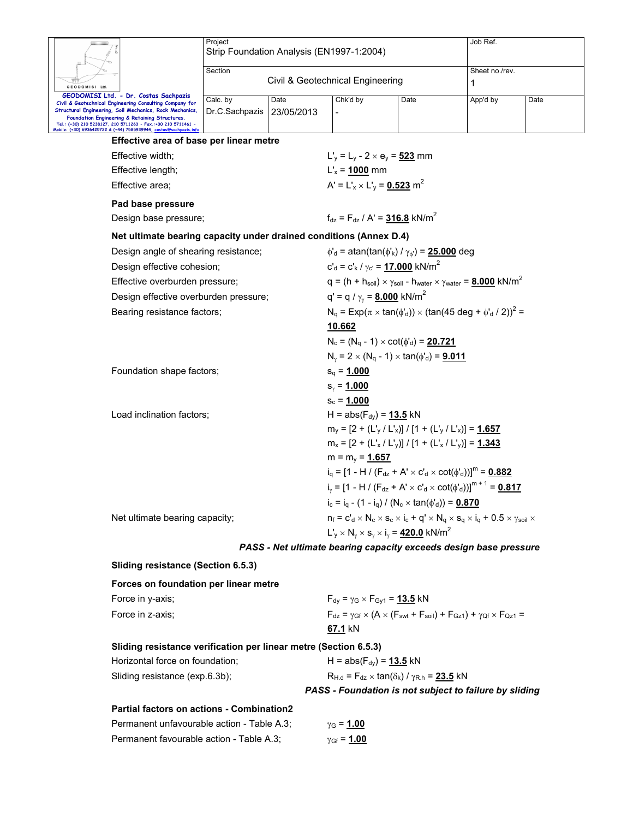|                                                                                                                                                                                                               | Project<br>Strip Foundation Analysis (EN1997-1:2004) |                                                                    | Job Ref.                                                                                                                          |                                                                                                                                              |                     |      |  |  |  |  |
|---------------------------------------------------------------------------------------------------------------------------------------------------------------------------------------------------------------|------------------------------------------------------|--------------------------------------------------------------------|-----------------------------------------------------------------------------------------------------------------------------------|----------------------------------------------------------------------------------------------------------------------------------------------|---------------------|------|--|--|--|--|
| GEODOMISI Ltd.                                                                                                                                                                                                | Section                                              |                                                                    | Civil & Geotechnical Engineering                                                                                                  |                                                                                                                                              | Sheet no./rev.<br>1 |      |  |  |  |  |
| GEODOMISI Ltd. - Dr. Costas Sachpazis<br>Civil & Geotechnical Engineering Consulting Company for<br>Structural Engineering, Soil Mechanics, Rock Mechanics,<br>Foundation Engineering & Retaining Structures. | Calc. by<br>Dr.C.Sachpazis                           | Date<br>23/05/2013                                                 | Chk'd by                                                                                                                          | Date                                                                                                                                         | App'd by            | Date |  |  |  |  |
| Tel.: (+30) 210 5238127, 210 5711263 - Fax.:+30 210 5711461 -<br>Mobile: (+30) 6936425722 & (+44) 7585939944, costas@sachpazis.info                                                                           |                                                      |                                                                    |                                                                                                                                   |                                                                                                                                              |                     |      |  |  |  |  |
| Effective area of base per linear metre                                                                                                                                                                       |                                                      |                                                                    |                                                                                                                                   |                                                                                                                                              |                     |      |  |  |  |  |
| Effective width;                                                                                                                                                                                              |                                                      |                                                                    |                                                                                                                                   | $L'_v = L_v - 2 \times e_v = 523$ mm                                                                                                         |                     |      |  |  |  |  |
| Effective length;                                                                                                                                                                                             |                                                      |                                                                    | $L'_{x}$ = 1000 mm                                                                                                                |                                                                                                                                              |                     |      |  |  |  |  |
| Effective area;                                                                                                                                                                                               | A' = $L'_{x}$ × $L'_{y}$ = 0.523 m <sup>2</sup>      |                                                                    |                                                                                                                                   |                                                                                                                                              |                     |      |  |  |  |  |
| Pad base pressure                                                                                                                                                                                             |                                                      |                                                                    |                                                                                                                                   |                                                                                                                                              |                     |      |  |  |  |  |
| Design base pressure;                                                                                                                                                                                         |                                                      | $f_{dz} = F_{dz} / A' = 316.8$ kN/m <sup>2</sup>                   |                                                                                                                                   |                                                                                                                                              |                     |      |  |  |  |  |
|                                                                                                                                                                                                               |                                                      | Net ultimate bearing capacity under drained conditions (Annex D.4) |                                                                                                                                   |                                                                                                                                              |                     |      |  |  |  |  |
| Design angle of shearing resistance;                                                                                                                                                                          |                                                      |                                                                    | $\phi'_{d}$ = atan(tan( $\phi'_{k}$ ) / $\gamma_{\phi'}$ ) = 25.000 deg                                                           |                                                                                                                                              |                     |      |  |  |  |  |
| Design effective cohesion;                                                                                                                                                                                    |                                                      |                                                                    | $c'_{d} = c'_{k} / \gamma_{c'} = 17.000$ kN/m <sup>2</sup>                                                                        |                                                                                                                                              |                     |      |  |  |  |  |
| Effective overburden pressure;                                                                                                                                                                                |                                                      |                                                                    |                                                                                                                                   | $q = (h + h_{\text{soil}}) \times \gamma_{\text{soil}} - h_{\text{water}} \times \gamma_{\text{water}} = 8.000 \text{ kN/m}^2$               |                     |      |  |  |  |  |
| Design effective overburden pressure;                                                                                                                                                                         |                                                      |                                                                    | q' = q / $\gamma_{\gamma}$ = <b>8.000</b> kN/m <sup>2</sup>                                                                       |                                                                                                                                              |                     |      |  |  |  |  |
| Bearing resistance factors;                                                                                                                                                                                   |                                                      |                                                                    | $N_q = Exp(\pi \times tan(\phi_d)) \times (tan(45 deg + \phi_d / 2))^2 =$                                                         |                                                                                                                                              |                     |      |  |  |  |  |
|                                                                                                                                                                                                               |                                                      |                                                                    | 10.662                                                                                                                            |                                                                                                                                              |                     |      |  |  |  |  |
|                                                                                                                                                                                                               |                                                      |                                                                    | $N_c = (N_q - 1) \times \cot(\phi'_d) = 20.721$                                                                                   |                                                                                                                                              |                     |      |  |  |  |  |
|                                                                                                                                                                                                               |                                                      |                                                                    |                                                                                                                                   | $N_{\nu} = 2 \times (N_q - 1) \times \tan(\phi'_d) = 9.011$                                                                                  |                     |      |  |  |  |  |
| Foundation shape factors;                                                                                                                                                                                     |                                                      |                                                                    | $s_q = 1.000$                                                                                                                     |                                                                                                                                              |                     |      |  |  |  |  |
|                                                                                                                                                                                                               |                                                      |                                                                    | $s_{y} = 1.000$                                                                                                                   |                                                                                                                                              |                     |      |  |  |  |  |
| Load inclination factors;                                                                                                                                                                                     |                                                      |                                                                    | $s_c = 1.000$<br>H = $abs(F_{dy}) = 13.5$ kN                                                                                      |                                                                                                                                              |                     |      |  |  |  |  |
|                                                                                                                                                                                                               |                                                      |                                                                    |                                                                                                                                   | $m_y = [2 + (L'_y / L'_x)] / [1 + (L'_y / L'_x)] = 1.657$                                                                                    |                     |      |  |  |  |  |
|                                                                                                                                                                                                               |                                                      |                                                                    | $m_x = [2 + (L'_x / L'_y)] / [1 + (L'_x / L'_y)] = 1.343$                                                                         |                                                                                                                                              |                     |      |  |  |  |  |
|                                                                                                                                                                                                               |                                                      |                                                                    | $m = m_y = 1.657$                                                                                                                 |                                                                                                                                              |                     |      |  |  |  |  |
|                                                                                                                                                                                                               |                                                      |                                                                    | $i_q = [1 - H / (F_{dz} + A' \times C'_d \times \cot(\phi'_d))]^m = 0.882$                                                        |                                                                                                                                              |                     |      |  |  |  |  |
|                                                                                                                                                                                                               |                                                      |                                                                    | i <sub>v</sub> = [1 - H / (F <sub>dz</sub> + A' × c' <sub>d</sub> × cot( $\phi'$ <sub>d</sub> ))] <sup>m + 1</sup> = <b>0.817</b> |                                                                                                                                              |                     |      |  |  |  |  |
|                                                                                                                                                                                                               |                                                      |                                                                    | $i_c = i_q - (1 - i_q) / (N_c \times \tan(\phi_d)) = 0.870$                                                                       |                                                                                                                                              |                     |      |  |  |  |  |
| Net ultimate bearing capacity;                                                                                                                                                                                |                                                      |                                                                    |                                                                                                                                   | $n_f = c_d^{\prime} \times N_c \times s_c \times i_c + q^{\prime} \times N_q \times s_q \times i_q + 0.5 \times \gamma_{\text{soli}} \times$ |                     |      |  |  |  |  |
|                                                                                                                                                                                                               |                                                      |                                                                    | $L'_{y} \times N_{y} \times s_{y} \times i_{y} = 420.0$ kN/m <sup>2</sup>                                                         |                                                                                                                                              |                     |      |  |  |  |  |
|                                                                                                                                                                                                               |                                                      |                                                                    |                                                                                                                                   | PASS - Net ultimate bearing capacity exceeds design base pressure                                                                            |                     |      |  |  |  |  |
| <b>Sliding resistance (Section 6.5.3)</b>                                                                                                                                                                     |                                                      |                                                                    |                                                                                                                                   |                                                                                                                                              |                     |      |  |  |  |  |
| Forces on foundation per linear metre                                                                                                                                                                         |                                                      |                                                                    |                                                                                                                                   |                                                                                                                                              |                     |      |  |  |  |  |
| Force in y-axis;                                                                                                                                                                                              |                                                      |                                                                    | $F_{dy} = \gamma_G \times F_{Gy1} = 13.5$ kN                                                                                      |                                                                                                                                              |                     |      |  |  |  |  |
| Force in z-axis;                                                                                                                                                                                              |                                                      |                                                                    |                                                                                                                                   | $F_{dz} = \gamma_{Gf} \times (A \times (F_{swt} + F_{soil}) + F_{Gz1}) + \gamma_{Qf} \times F_{Qz1} =$                                       |                     |      |  |  |  |  |
|                                                                                                                                                                                                               |                                                      |                                                                    | 67.1 kN                                                                                                                           |                                                                                                                                              |                     |      |  |  |  |  |
| Sliding resistance verification per linear metre (Section 6.5.3)                                                                                                                                              |                                                      |                                                                    |                                                                                                                                   |                                                                                                                                              |                     |      |  |  |  |  |
| Horizontal force on foundation;                                                                                                                                                                               |                                                      |                                                                    | H = $abs(F_{dy}) = 13.5$ kN                                                                                                       |                                                                                                                                              |                     |      |  |  |  |  |
| Sliding resistance (exp.6.3b);                                                                                                                                                                                |                                                      |                                                                    | $R_{H.d}$ = $F_{dz}$ × tan( $\delta_k$ ) / $\gamma_{R.h}$ = 23.5 kN                                                               |                                                                                                                                              |                     |      |  |  |  |  |
|                                                                                                                                                                                                               |                                                      |                                                                    |                                                                                                                                   | PASS - Foundation is not subject to failure by sliding                                                                                       |                     |      |  |  |  |  |
| Partial factors on actions - Combination2                                                                                                                                                                     |                                                      |                                                                    |                                                                                                                                   |                                                                                                                                              |                     |      |  |  |  |  |

| Permanent unfavourable action - Table A.3; | $γ$ <sub>G</sub> = <u>1.00</u> |
|--------------------------------------------|--------------------------------|
| Permanent favourable action - Table A.3;   | $γ$ Gf = 1.00                  |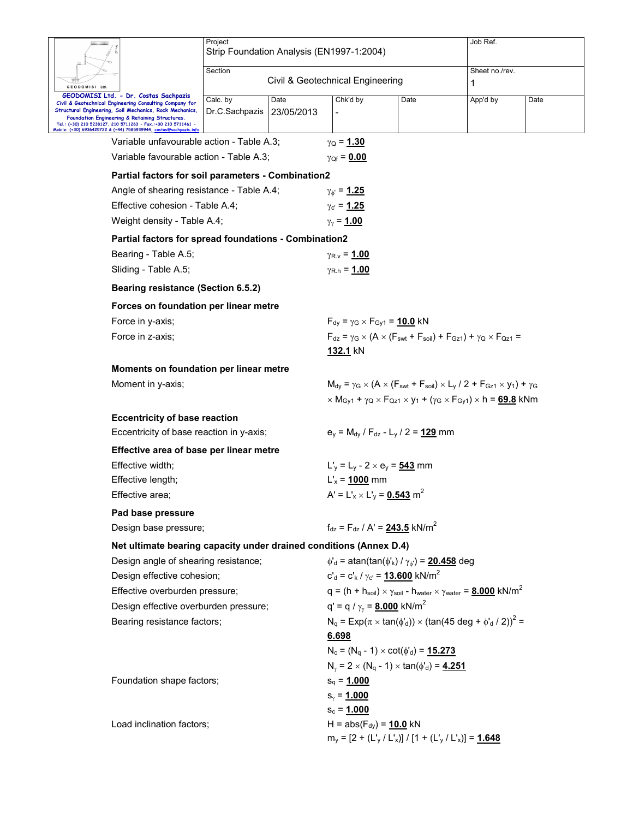|                                                                                                                                                                                                                                                                                                            | Project<br>Strip Foundation Analysis (EN1997-1:2004)               |                                                                         |      | Job Ref.                                                                                                                                                                               |      |
|------------------------------------------------------------------------------------------------------------------------------------------------------------------------------------------------------------------------------------------------------------------------------------------------------------|--------------------------------------------------------------------|-------------------------------------------------------------------------|------|----------------------------------------------------------------------------------------------------------------------------------------------------------------------------------------|------|
|                                                                                                                                                                                                                                                                                                            | Section                                                            | Civil & Geotechnical Engineering                                        |      | Sheet no./rev.                                                                                                                                                                         |      |
| GEODOMISI Ltd.<br>GEODOMISI Ltd. - Dr. Costas Sachpazis                                                                                                                                                                                                                                                    |                                                                    |                                                                         |      | 1                                                                                                                                                                                      |      |
| Civil & Geotechnical Engineering Consulting Company for<br>Structural Engineering, Soil Mechanics, Rock Mechanics,<br>Foundation Engineering & Retaining Structures.<br>Tel.: (+30) 210 5238127, 210 5711263 - Fax.:+30 210 5711461 -<br>Mobile: (+30) 6936425722 & (+44) 7585939944, costas@sachpazis.inf | Calc. by<br>Date<br>Dr.C.Sachpazis<br>23/05/2013                   | Chk'd by                                                                | Date | App'd by                                                                                                                                                                               | Date |
| Variable unfavourable action - Table A.3;                                                                                                                                                                                                                                                                  |                                                                    | $\gamma_{\rm Q} = 1.30$                                                 |      |                                                                                                                                                                                        |      |
| Variable favourable action - Table A.3;                                                                                                                                                                                                                                                                    |                                                                    | $\gamma_{Qf} = 0.00$                                                    |      |                                                                                                                                                                                        |      |
|                                                                                                                                                                                                                                                                                                            | Partial factors for soil parameters - Combination2                 |                                                                         |      |                                                                                                                                                                                        |      |
| Angle of shearing resistance - Table A.4;                                                                                                                                                                                                                                                                  |                                                                    | $\gamma_{\phi} = 1.25$                                                  |      |                                                                                                                                                                                        |      |
| Effective cohesion - Table A.4;                                                                                                                                                                                                                                                                            |                                                                    | $\gamma_{\rm c} = 1.25$                                                 |      |                                                                                                                                                                                        |      |
| Weight density - Table A.4;                                                                                                                                                                                                                                                                                |                                                                    | $\gamma_{\gamma}$ = 1.00                                                |      |                                                                                                                                                                                        |      |
|                                                                                                                                                                                                                                                                                                            | Partial factors for spread foundations - Combination2              |                                                                         |      |                                                                                                                                                                                        |      |
| Bearing - Table A.5;                                                                                                                                                                                                                                                                                       |                                                                    | $\gamma_{\rm R,V}$ = 1.00                                               |      |                                                                                                                                                                                        |      |
| Sliding - Table A.5;                                                                                                                                                                                                                                                                                       |                                                                    | $\gamma_{\rm R.h} = 1.00$                                               |      |                                                                                                                                                                                        |      |
| <b>Bearing resistance (Section 6.5.2)</b>                                                                                                                                                                                                                                                                  |                                                                    |                                                                         |      |                                                                                                                                                                                        |      |
| Forces on foundation per linear metre                                                                                                                                                                                                                                                                      |                                                                    |                                                                         |      |                                                                                                                                                                                        |      |
| Force in y-axis;                                                                                                                                                                                                                                                                                           |                                                                    | $F_{dy} = \gamma_G \times F_{Gv1} = 10.0$ kN                            |      |                                                                                                                                                                                        |      |
| Force in z-axis;                                                                                                                                                                                                                                                                                           |                                                                    | 132.1 kN                                                                |      | $F_{dz} = \gamma_G \times (A \times (F_{swt} + F_{soi}) + F_{Gz1}) + \gamma_Q \times F_{Qz1} =$                                                                                        |      |
| Moments on foundation per linear metre                                                                                                                                                                                                                                                                     |                                                                    |                                                                         |      |                                                                                                                                                                                        |      |
| Moment in y-axis;                                                                                                                                                                                                                                                                                          |                                                                    |                                                                         |      | $M_{\text{dv}} = \gamma_G \times (A \times (F_{\text{swt}} + F_{\text{soil}}) \times L_v / 2 + F_{\text{Gz1}} \times V_1) + \gamma_G$                                                  |      |
|                                                                                                                                                                                                                                                                                                            |                                                                    |                                                                         |      | $\times$ M <sub>Gy1</sub> + $\gamma$ <sub>Q</sub> $\times$ F <sub>Qz1</sub> $\times$ y <sub>1</sub> + ( $\gamma$ <sub>G</sub> $\times$ F <sub>Gy1</sub> ) $\times$ h = <b>69.8</b> kNm |      |
| <b>Eccentricity of base reaction</b>                                                                                                                                                                                                                                                                       |                                                                    |                                                                         |      |                                                                                                                                                                                        |      |
| Eccentricity of base reaction in y-axis;                                                                                                                                                                                                                                                                   |                                                                    | $e_v = M_{dv} / F_{dz} - L_v / 2 = 129$ mm                              |      |                                                                                                                                                                                        |      |
| Effective area of base per linear metre                                                                                                                                                                                                                                                                    |                                                                    |                                                                         |      |                                                                                                                                                                                        |      |
| Effective width;                                                                                                                                                                                                                                                                                           |                                                                    | $L'_v = L_v - 2 \times e_v = 543$ mm                                    |      |                                                                                                                                                                                        |      |
| Effective length;                                                                                                                                                                                                                                                                                          |                                                                    | $L'_{x}$ = 1000 mm                                                      |      |                                                                                                                                                                                        |      |
| Effective area;                                                                                                                                                                                                                                                                                            |                                                                    | A' = $L'_{x}$ × $L'_{y}$ = 0.543 m <sup>2</sup>                         |      |                                                                                                                                                                                        |      |
| Pad base pressure                                                                                                                                                                                                                                                                                          |                                                                    |                                                                         |      |                                                                                                                                                                                        |      |
| Design base pressure;                                                                                                                                                                                                                                                                                      |                                                                    | $f_{dz} = F_{dz} / A' = 243.5$ kN/m <sup>2</sup>                        |      |                                                                                                                                                                                        |      |
|                                                                                                                                                                                                                                                                                                            | Net ultimate bearing capacity under drained conditions (Annex D.4) |                                                                         |      |                                                                                                                                                                                        |      |
| Design angle of shearing resistance;                                                                                                                                                                                                                                                                       |                                                                    | $\phi'_{d}$ = atan(tan( $\phi'_{k}$ ) / $\gamma_{\phi'}$ ) = 20.458 deg |      |                                                                                                                                                                                        |      |
| Design effective cohesion;                                                                                                                                                                                                                                                                                 |                                                                    | $c'_{d} = c'_{k}/\gamma_{c'} = 13.600$ kN/m <sup>2</sup>                |      |                                                                                                                                                                                        |      |
| Effective overburden pressure;                                                                                                                                                                                                                                                                             |                                                                    |                                                                         |      | $q = (h + h_{\text{soil}}) \times \gamma_{\text{soil}}$ - h <sub>water</sub> $\times \gamma_{\text{water}} = 8.000 \text{ kN/m}^2$                                                     |      |
| Design effective overburden pressure;                                                                                                                                                                                                                                                                      |                                                                    | $q' = q / \gamma_v = 8.000$ kN/m <sup>2</sup>                           |      |                                                                                                                                                                                        |      |
| Bearing resistance factors;                                                                                                                                                                                                                                                                                |                                                                    |                                                                         |      | $N_q = Exp(\pi \times tan(\phi_d)) \times (tan(45 deg + \phi_d / 2))^2 =$                                                                                                              |      |
|                                                                                                                                                                                                                                                                                                            |                                                                    | 6.698                                                                   |      |                                                                                                                                                                                        |      |
|                                                                                                                                                                                                                                                                                                            |                                                                    | $N_c = (N_q - 1) \times \cot(\phi_d) = 15.273$                          |      |                                                                                                                                                                                        |      |
|                                                                                                                                                                                                                                                                                                            |                                                                    | $N_{\gamma} = 2 \times (N_q - 1) \times \tan(\phi'_d) = 4.251$          |      |                                                                                                                                                                                        |      |
| Foundation shape factors;                                                                                                                                                                                                                                                                                  |                                                                    | $s_q = 1.000$                                                           |      |                                                                                                                                                                                        |      |
|                                                                                                                                                                                                                                                                                                            |                                                                    | $s_{\gamma} = 1.000$                                                    |      |                                                                                                                                                                                        |      |
|                                                                                                                                                                                                                                                                                                            |                                                                    | $s_c = 1.000$                                                           |      |                                                                                                                                                                                        |      |
| Load inclination factors;                                                                                                                                                                                                                                                                                  |                                                                    | H = $abs(F_{dy}) = 10.0$ kN                                             |      |                                                                                                                                                                                        |      |
|                                                                                                                                                                                                                                                                                                            |                                                                    | $m_v = [2 + (L_v / L_x)] / [1 + (L_v / L_x)] = 1.648$                   |      |                                                                                                                                                                                        |      |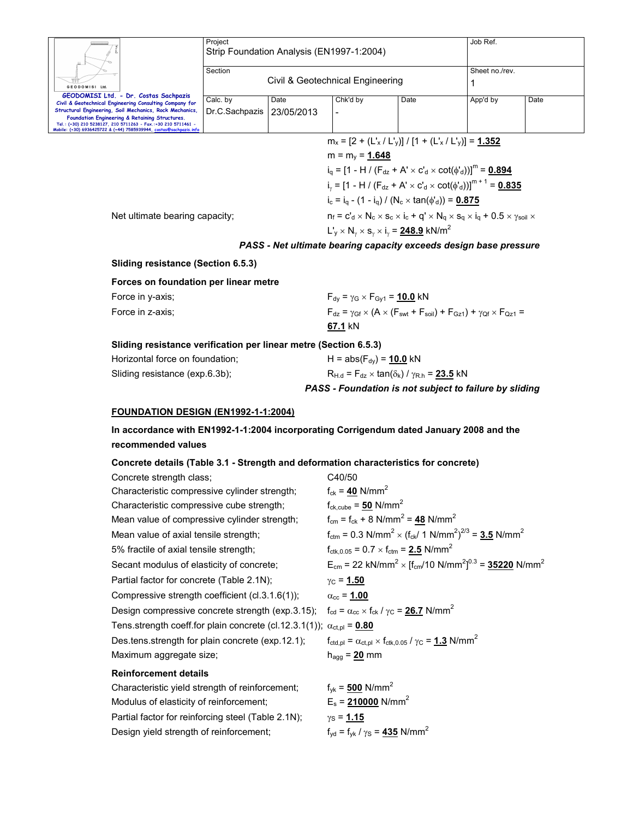|                                                                                                                                                                                                                                                  | Project<br>Strip Foundation Analysis (EN1997-1:2004)  |                | Job Ref.                                                          |                                                                                      |          |      |
|--------------------------------------------------------------------------------------------------------------------------------------------------------------------------------------------------------------------------------------------------|-------------------------------------------------------|----------------|-------------------------------------------------------------------|--------------------------------------------------------------------------------------|----------|------|
| GEODOMISI Ltd.                                                                                                                                                                                                                                   | Section<br>Civil & Geotechnical Engineering           | Sheet no./rev. |                                                                   |                                                                                      |          |      |
| GEODOMISI Ltd. - Dr. Costas Sachpazis<br>Civil & Geotechnical Engineering Consulting Company for                                                                                                                                                 | Calc. by                                              | Date           | Chk'd by                                                          | Date                                                                                 | App'd by | Date |
| Structural Engineering, Soil Mechanics, Rock Mechanics,<br>Foundation Engineering & Retaining Structures.<br>Tel.: (+30) 210 5238127, 210 5711263 - Fax,:+30 210 5711461 -<br>Mobile: (+30) 6936425722 & (+44) 7585939944, costas@sachpazis.info | Dr.C.Sachpazis                                        | 23/05/2013     |                                                                   |                                                                                      |          |      |
|                                                                                                                                                                                                                                                  | $m_x = [2 + (L_x / L_v)] / [1 + (L_x / L_v)] = 1.352$ |                |                                                                   |                                                                                      |          |      |
|                                                                                                                                                                                                                                                  |                                                       |                | $m = m_v = 1.648$                                                 |                                                                                      |          |      |
|                                                                                                                                                                                                                                                  |                                                       |                |                                                                   | $i_a = [1 - H / (F_{dz} + A' \times c'_d \times \cot(\phi'_d))]^{(i)} = 0.894$       |          |      |
|                                                                                                                                                                                                                                                  |                                                       |                |                                                                   | $i_{y} = [1 - H / (F_{dz} + A' \times C'_{d} \times \cot(\phi'_{d}))]^{m+1} = 0.835$ |          |      |
|                                                                                                                                                                                                                                                  |                                                       |                |                                                                   | $i_c = i_a - (1 - i_a) / (N_c \times \tan(\phi'_d)) = 0.875$                         |          |      |
| $n_f = c_d^1 \times N_c \times s_c \times i_c + q' \times N_q \times s_q \times i_q + 0.5 \times \gamma_{\text{sol}} \times$<br>Net ultimate bearing capacity;                                                                                   |                                                       |                |                                                                   |                                                                                      |          |      |
|                                                                                                                                                                                                                                                  |                                                       |                | $L'_v \times N_v \times s_v \times i_v = 248.9$ kN/m <sup>2</sup> |                                                                                      |          |      |
|                                                                                                                                                                                                                                                  |                                                       |                |                                                                   | PASS - Net ultimate bearing capacity exceeds design base pressure                    |          |      |

**Sliding resistance (Section 6.5.3)** 

#### **Forces on foundation per linear metre**

| Force in y-axis; | $F_{dy} = \gamma$ G × $F_{Gy1} = 10.0$ kN                                                              |
|------------------|--------------------------------------------------------------------------------------------------------|
| Force in z-axis: | $F_{dz} = \gamma_{Gf} \times (A \times (F_{swt} + F_{soil}) + F_{Gz1}) + \gamma_{Qf} \times F_{Qz1} =$ |
|                  | 67.1 kN                                                                                                |

#### **Sliding resistance verification per linear metre (Section 6.5.3)**

Partial factor for reinforcing steel (Table 2.1N);  $\gamma_s = 1.15$ 

Design yield strength of reinforcement;  $f_{yd} = f_{yk}/\gamma_s = 435$  N/mm<sup>2</sup>

|                                 | PASS - Foundation is not subject to failure by sliding              |
|---------------------------------|---------------------------------------------------------------------|
| Sliding resistance (exp.6.3b);  | $R_{H,d}$ = $F_{dz}$ × tan( $\delta_k$ ) / $\gamma_{R,h}$ = 23.5 kN |
| Horizontal force on foundation; | H = abs( $F_{dv}$ ) = 10.0 kN                                       |

#### **FOUNDATION DESIGN (EN1992-1-1:2004)**

**In accordance with EN1992-1-1:2004 incorporating Corrigendum dated January 2008 and the recommended values** 

#### **Concrete details (Table 3.1 - Strength and deformation characteristics for concrete)**

| Concrete strength class;                                                              | C40/50                                                                                                   |
|---------------------------------------------------------------------------------------|----------------------------------------------------------------------------------------------------------|
| Characteristic compressive cylinder strength;                                         | $f_{ck} = 40$ N/mm <sup>2</sup>                                                                          |
| Characteristic compressive cube strength;                                             | $f_{ck,cube} = 50$ N/mm <sup>2</sup>                                                                     |
| Mean value of compressive cylinder strength;                                          | $f_{cm} = f_{ck} + 8$ N/mm <sup>2</sup> = 48 N/mm <sup>2</sup>                                           |
| Mean value of axial tensile strength;                                                 | $f_{\text{ctm}} = 0.3 \text{ N/mm}^2 \times (f_{\text{ck}}/1 \text{ N/mm}^2)^{2/3} = 3.5 \text{ N/mm}^2$ |
| 5% fractile of axial tensile strength;                                                | $f_{\text{ctk.0.05}} = 0.7 \times f_{\text{ctm}} = 2.5 \text{ N/mm}^2$                                   |
| Secant modulus of elasticity of concrete;                                             | $E_{cm}$ = 22 kN/mm <sup>2</sup> × $[f_{cm}/10 \text{ N/mm}^2]^{0.3}$ = <b>35220</b> N/mm <sup>2</sup>   |
| Partial factor for concrete (Table 2.1N);                                             | $y_C = 1.50$                                                                                             |
| Compressive strength coefficient $(cl.3.1.6(1))$ ;                                    | $\alpha_{\rm cc}$ = 1.00                                                                                 |
| Design compressive concrete strength (exp.3.15);                                      | $f_{\rm cd} = \alpha_{\rm cc} \times f_{\rm ck}$ / $\gamma_{\rm C} = 26.7$ N/mm <sup>2</sup>             |
| Tens.strength coeff.for plain concrete (cl.12.3.1(1)); $\alpha_{\text{ct,pl}} = 0.80$ |                                                                                                          |
| Des.tens.strength for plain concrete (exp.12.1);                                      | $f_{\text{ctd,pl}} = \alpha_{\text{ct,pl}} \times f_{\text{ctk,0.05}} / \gamma_C = 1.3 \text{ N/mm}^2$   |
| Maximum aggregate size;                                                               | $h_{agg} = 20$ mm                                                                                        |
| <b>Reinforcement details</b>                                                          |                                                                                                          |
| Characteristic yield strength of reinforcement;                                       | $f_{\text{vk}} = 500 \text{ N/mm}^2$                                                                     |
| Modulus of elasticity of reinforcement;                                               | $E_s$ = 210000 N/mm <sup>2</sup>                                                                         |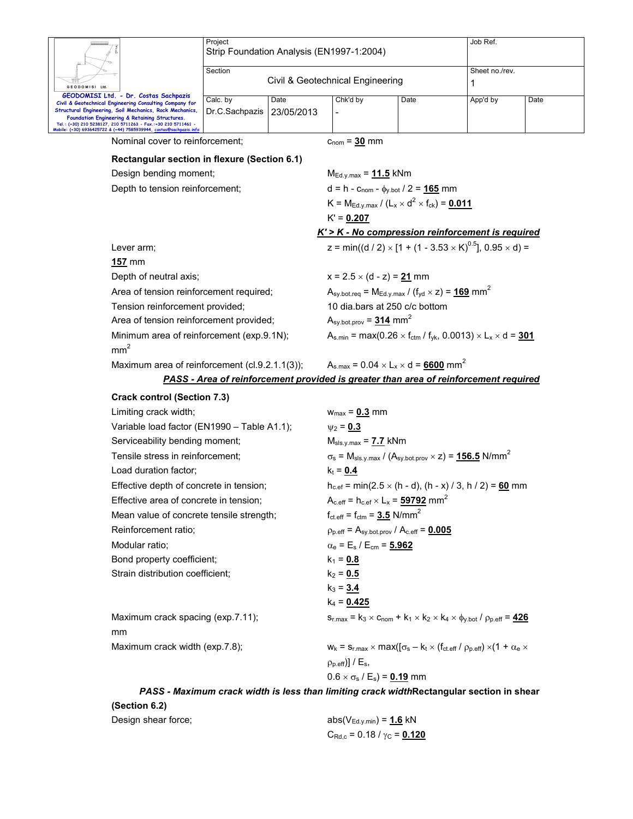|                                                                                                                                                                                                                                                                                                                                                              | Project<br>Strip Foundation Analysis (EN1997-1:2004) |                    |                                                                                                                       |                                                                                                                                         | Job Ref.                                          |                     |  |  |  |
|--------------------------------------------------------------------------------------------------------------------------------------------------------------------------------------------------------------------------------------------------------------------------------------------------------------------------------------------------------------|------------------------------------------------------|--------------------|-----------------------------------------------------------------------------------------------------------------------|-----------------------------------------------------------------------------------------------------------------------------------------|---------------------------------------------------|---------------------|--|--|--|
| GEODOMISI Ltd.                                                                                                                                                                                                                                                                                                                                               | Section                                              |                    |                                                                                                                       | Civil & Geotechnical Engineering                                                                                                        |                                                   | Sheet no./rev.<br>1 |  |  |  |
| GEODOMISI Ltd. - Dr. Costas Sachpazis<br>Civil & Geotechnical Engineering Consulting Company for<br>Structural Engineering, Soil Mechanics, Rock Mechanics,<br>Foundation Engineering & Retaining Structures.<br>Tel.: (+30) 210 5238127, 210 5711263 - Fax.:+30 210 5711461 -<br>Mobile: (+30) 6936425722 & (+44) 7585939944, <u>costas@sachpazis.inf</u> i | Calc. by<br>Dr.C.Sachpazis                           | Date<br>23/05/2013 | Chk'd by                                                                                                              | Date                                                                                                                                    | App'd by                                          | Date                |  |  |  |
| Nominal cover to reinforcement;                                                                                                                                                                                                                                                                                                                              |                                                      |                    | $c_{\text{nom}} = 30$ mm                                                                                              |                                                                                                                                         |                                                   |                     |  |  |  |
| Rectangular section in flexure (Section 6.1)                                                                                                                                                                                                                                                                                                                 |                                                      |                    |                                                                                                                       |                                                                                                                                         |                                                   |                     |  |  |  |
| Design bending moment;                                                                                                                                                                                                                                                                                                                                       |                                                      |                    | $M_{Ed.y.max} = 11.5$ kNm                                                                                             |                                                                                                                                         |                                                   |                     |  |  |  |
|                                                                                                                                                                                                                                                                                                                                                              | Depth to tension reinforcement;                      |                    |                                                                                                                       |                                                                                                                                         |                                                   |                     |  |  |  |
|                                                                                                                                                                                                                                                                                                                                                              |                                                      |                    |                                                                                                                       | $K = M_{Ed.y.max} / (L_x \times d^2 \times f_{ck}) = 0.011$                                                                             |                                                   |                     |  |  |  |
|                                                                                                                                                                                                                                                                                                                                                              |                                                      |                    |                                                                                                                       |                                                                                                                                         |                                                   |                     |  |  |  |
|                                                                                                                                                                                                                                                                                                                                                              |                                                      |                    |                                                                                                                       |                                                                                                                                         | K' > K - No compression reinforcement is required |                     |  |  |  |
| Lever arm;                                                                                                                                                                                                                                                                                                                                                   |                                                      |                    |                                                                                                                       | z = min((d / 2) $\times$ [1 + (1 - 3.53 $\times$ K) <sup>0.5</sup> ], 0.95 $\times$ d) =                                                |                                                   |                     |  |  |  |
| 157 mm                                                                                                                                                                                                                                                                                                                                                       |                                                      |                    |                                                                                                                       |                                                                                                                                         |                                                   |                     |  |  |  |
| Depth of neutral axis;                                                                                                                                                                                                                                                                                                                                       |                                                      |                    | $x = 2.5 \times (d - z) = 21$ mm                                                                                      |                                                                                                                                         |                                                   |                     |  |  |  |
| Area of tension reinforcement required;                                                                                                                                                                                                                                                                                                                      |                                                      |                    | $A_{\text{sy.bot.}req} = M_{Ed.y.max} / (f_{yd} \times z) = 169$ mm <sup>2</sup>                                      |                                                                                                                                         |                                                   |                     |  |  |  |
| Tension reinforcement provided;                                                                                                                                                                                                                                                                                                                              |                                                      |                    | 10 dia.bars at 250 c/c bottom                                                                                         |                                                                                                                                         |                                                   |                     |  |  |  |
| Area of tension reinforcement provided;                                                                                                                                                                                                                                                                                                                      |                                                      |                    | $Asy.bot.prov = 314 mm2$                                                                                              |                                                                                                                                         |                                                   |                     |  |  |  |
| Minimum area of reinforcement (exp.9.1N);<br>mm <sup>2</sup>                                                                                                                                                                                                                                                                                                 |                                                      |                    | $A_{s,min}$ = max(0.26 $\times$ f <sub>ctm</sub> / f <sub>yk</sub> , 0.0013) $\times$ L <sub>x</sub> $\times$ d = 301 |                                                                                                                                         |                                                   |                     |  |  |  |
|                                                                                                                                                                                                                                                                                                                                                              | Maximum area of reinforcement (cl.9.2.1.1(3));       |                    |                                                                                                                       | $A_{s,max} = 0.04 \times L_x \times d = 6600$ mm <sup>2</sup>                                                                           |                                                   |                     |  |  |  |
|                                                                                                                                                                                                                                                                                                                                                              |                                                      |                    |                                                                                                                       | <b>PASS - Area of reinforcement provided is greater than area of reinforcement required</b>                                             |                                                   |                     |  |  |  |
| <b>Crack control (Section 7.3)</b>                                                                                                                                                                                                                                                                                                                           |                                                      |                    |                                                                                                                       |                                                                                                                                         |                                                   |                     |  |  |  |
| Limiting crack width;                                                                                                                                                                                                                                                                                                                                        |                                                      |                    | $w_{max} = 0.3$ mm                                                                                                    |                                                                                                                                         |                                                   |                     |  |  |  |
| Variable load factor (EN1990 - Table A1.1);                                                                                                                                                                                                                                                                                                                  |                                                      |                    | $v_2 = 0.3$                                                                                                           |                                                                                                                                         |                                                   |                     |  |  |  |
| Serviceability bending moment;                                                                                                                                                                                                                                                                                                                               |                                                      |                    | $M_{\rm sls.v.max}$ = 7.7 kNm                                                                                         |                                                                                                                                         |                                                   |                     |  |  |  |
| Tensile stress in reinforcement;                                                                                                                                                                                                                                                                                                                             |                                                      |                    | $\sigma_s$ = M <sub>sls.y.max</sub> / (A <sub>sy.bot.prov</sub> $\times$ z) = 156.5 N/mm <sup>2</sup><br>$k_t = 0.4$  |                                                                                                                                         |                                                   |                     |  |  |  |
| Load duration factor;                                                                                                                                                                                                                                                                                                                                        |                                                      |                    |                                                                                                                       |                                                                                                                                         |                                                   |                     |  |  |  |
| Effective depth of concrete in tension;                                                                                                                                                                                                                                                                                                                      |                                                      |                    |                                                                                                                       | $h_{c,ef}$ = min(2.5 $\times$ (h - d), (h - x) / 3, h / 2) = 60 mm                                                                      |                                                   |                     |  |  |  |
| Effective area of concrete in tension;                                                                                                                                                                                                                                                                                                                       |                                                      |                    | $A_{c.eff}$ = $h_{c.ef} \times L_x$ = 59792 mm <sup>2</sup>                                                           |                                                                                                                                         |                                                   |                     |  |  |  |
| Mean value of concrete tensile strength;                                                                                                                                                                                                                                                                                                                     |                                                      |                    | $f_{\text{ct.eff}} = f_{\text{ctm}} = 3.5 \text{ N/mm}^2$                                                             |                                                                                                                                         |                                                   |                     |  |  |  |
| Reinforcement ratio;                                                                                                                                                                                                                                                                                                                                         |                                                      |                    | $\rho_{p. eff} = A_{sy. bot. prov} / A_{c. eff} = 0.005$                                                              |                                                                                                                                         |                                                   |                     |  |  |  |
| Modular ratio;                                                                                                                                                                                                                                                                                                                                               |                                                      |                    | $\alpha_e = E_s / E_{cm} = 5.962$                                                                                     |                                                                                                                                         |                                                   |                     |  |  |  |
| Bond property coefficient;                                                                                                                                                                                                                                                                                                                                   |                                                      |                    | $k_1 = 0.8$                                                                                                           |                                                                                                                                         |                                                   |                     |  |  |  |
| Strain distribution coefficient;                                                                                                                                                                                                                                                                                                                             |                                                      |                    | $k_2 = 0.5$                                                                                                           |                                                                                                                                         |                                                   |                     |  |  |  |
|                                                                                                                                                                                                                                                                                                                                                              |                                                      |                    | $k_3 = 3.4$                                                                                                           |                                                                                                                                         |                                                   |                     |  |  |  |
|                                                                                                                                                                                                                                                                                                                                                              |                                                      |                    | $k_4 = 0.425$                                                                                                         |                                                                                                                                         |                                                   |                     |  |  |  |
| Maximum crack spacing (exp.7.11);<br>mm                                                                                                                                                                                                                                                                                                                      |                                                      |                    |                                                                                                                       | $S_{r,max} = k_3 \times C_{nom} + k_1 \times k_2 \times k_4 \times \phi_{v.bot} / \rho_{p.eff} = 426$                                   |                                                   |                     |  |  |  |
| Maximum crack width (exp.7.8);                                                                                                                                                                                                                                                                                                                               |                                                      |                    |                                                                                                                       | $W_k = S_{r,\text{max}} \times \text{max}([\sigma_s - k_t \times (f_{\text{ct.eff}} / \rho_{p,\text{eff}}) \times (1 + \alpha_e \times$ |                                                   |                     |  |  |  |
|                                                                                                                                                                                                                                                                                                                                                              |                                                      |                    | $(\rho_{p.eff})$ ] / E <sub>s</sub> ,                                                                                 |                                                                                                                                         |                                                   |                     |  |  |  |
|                                                                                                                                                                                                                                                                                                                                                              |                                                      |                    | $0.6 \times \sigma_s / E_s$ = 0.19 mm                                                                                 |                                                                                                                                         |                                                   |                     |  |  |  |
|                                                                                                                                                                                                                                                                                                                                                              |                                                      |                    |                                                                                                                       | PASS - Maximum crack width is less than limiting crack widthRectangular section in shear                                                |                                                   |                     |  |  |  |

**(Section 6.2)**  Design shear force;  $abs(V_{Edy,min}) = 1.6$  kN  $C_{\text{Rd},c} = 0.18 / \gamma_{\text{C}} = 0.120$